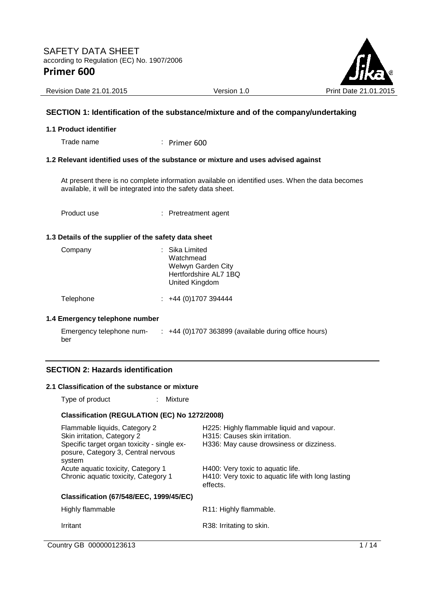

Revision Date 21.01.2015 **Version 1.0** Version 1.0 Print Date 21.01

### **SECTION 1: Identification of the substance/mixture and of the company/undertaking**

#### **1.1 Product identifier**

Trade name : Primer 600

#### **1.2 Relevant identified uses of the substance or mixture and uses advised against**

At present there is no complete information available on identified uses. When the data becomes available, it will be integrated into the safety data sheet.

Product use : Pretreatment agent

#### **1.3 Details of the supplier of the safety data sheet**

| Company | : Sika Limited<br>Watchmead<br>Welwyn Garden City<br>Hertfordshire AL7 1BQ<br>United Kingdom |
|---------|----------------------------------------------------------------------------------------------|
|---------|----------------------------------------------------------------------------------------------|

Telephone : +44 (0)1707 394444

#### **1.4 Emergency telephone number**

| Emergency telephone num- | $\div$ +44 (0)1707 363899 (available during office hours) |
|--------------------------|-----------------------------------------------------------|
| ber                      |                                                           |

### **SECTION 2: Hazards identification**

#### **2.1 Classification of the substance or mixture**

Type of product : Mixture

#### **Classification (REGULATION (EC) No 1272/2008)**

| Flammable liquids, Category 2<br>Skin irritation, Category 2<br>Specific target organ toxicity - single ex-<br>posure, Category 3, Central nervous<br>system | H225: Highly flammable liquid and vapour.<br>H315: Causes skin irritation.<br>H336: May cause drowsiness or dizziness. |
|--------------------------------------------------------------------------------------------------------------------------------------------------------------|------------------------------------------------------------------------------------------------------------------------|
| Acute aquatic toxicity, Category 1<br>Chronic aquatic toxicity, Category 1                                                                                   | H400: Very toxic to aquatic life.<br>H410: Very toxic to aquatic life with long lasting<br>effects.                    |
| <b>Classification (67/548/EEC, 1999/45/EC)</b>                                                                                                               |                                                                                                                        |
| Highly flammable                                                                                                                                             | R11: Highly flammable.                                                                                                 |
| Irritant                                                                                                                                                     | R38: Irritating to skin.                                                                                               |
|                                                                                                                                                              |                                                                                                                        |

Country GB 000000123613 1/14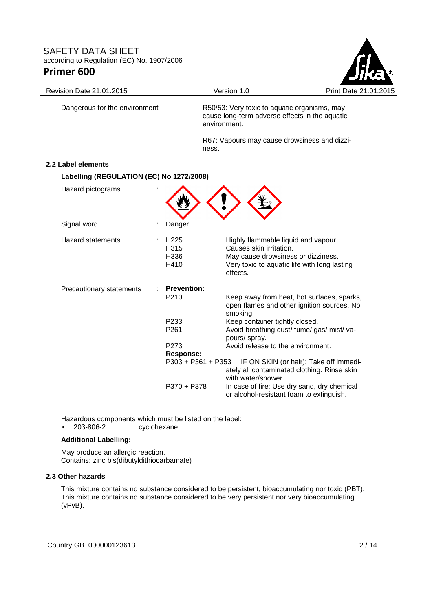

Dangerous for the environment R50/53: Very toxic to aquatic organisms, may cause long-term adverse effects in the aquatic

> R67: Vapours may cause drowsiness and dizziness.

#### **2.2 Label elements**

#### **Labelling (REGULATION (EC) No 1272/2008)**

| Hazard pictograms        |                                                       |                                                                                                                                                                  |
|--------------------------|-------------------------------------------------------|------------------------------------------------------------------------------------------------------------------------------------------------------------------|
| Signal word              | Danger                                                |                                                                                                                                                                  |
| <b>Hazard statements</b> | H <sub>225</sub><br>H <sub>3</sub> 15<br>H336<br>H410 | Highly flammable liquid and vapour.<br>Causes skin irritation.<br>May cause drowsiness or dizziness.<br>Very toxic to aquatic life with long lasting<br>effects. |
| Precautionary statements | <b>Prevention:</b><br>P <sub>210</sub>                | Keep away from heat, hot surfaces, sparks,                                                                                                                       |
|                          |                                                       | open flames and other ignition sources. No<br>smoking.                                                                                                           |
|                          | P <sub>233</sub>                                      | Keep container tightly closed.                                                                                                                                   |
|                          | P <sub>261</sub>                                      | Avoid breathing dust/fume/gas/mist/va-<br>pours/ spray.                                                                                                          |
|                          | P <sub>273</sub>                                      | Avoid release to the environment.                                                                                                                                |
|                          | <b>Response:</b>                                      |                                                                                                                                                                  |
|                          | P303 + P361 + P353                                    | IF ON SKIN (or hair): Take off immedi-<br>ately all contaminated clothing. Rinse skin<br>with water/shower.                                                      |
|                          | P370 + P378                                           | In case of fire: Use dry sand, dry chemical<br>or alcohol-resistant foam to extinguish.                                                                          |

environment.

Hazardous components which must be listed on the label:<br>• 203-806-2 cyclohexane

cyclohexane

#### **Additional Labelling:**

May produce an allergic reaction. Contains: zinc bis(dibutyldithiocarbamate)

#### **2.3 Other hazards**

This mixture contains no substance considered to be persistent, bioaccumulating nor toxic (PBT). This mixture contains no substance considered to be very persistent nor very bioaccumulating (vPvB).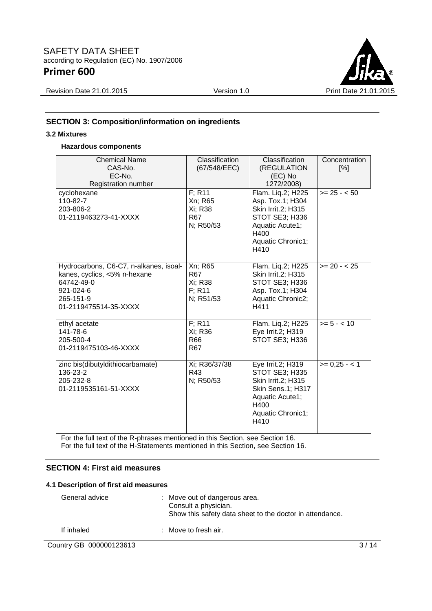

Revision Date 21.01.2015 Version 1.0 Print Date 21.01.2015

# **SECTION 3: Composition/information on ingredients**

#### **3.2 Mixtures**

### **Hazardous components**

| <b>Chemical Name</b><br>CAS-No.<br>EC-No.<br>Registration number                                                                        | Classification<br>(67/548/EEC)                                         | Classification<br>(REGULATION<br>(EC) No<br>1272/2008)                                                                                 | Concentration<br>[%] |
|-----------------------------------------------------------------------------------------------------------------------------------------|------------------------------------------------------------------------|----------------------------------------------------------------------------------------------------------------------------------------|----------------------|
| cyclohexane<br>110-82-7<br>203-806-2<br>01-2119463273-41-XXXX                                                                           | $F$ ; R <sub>11</sub><br>Xn; R65<br>Xi; R38<br><b>R67</b><br>N; R50/53 | Flam. Liq.2; H225<br>Asp. Tox.1; H304<br>Skin Irrit.2; H315<br>STOT SE3; H336<br>Aquatic Acute1;<br>H400<br>Aquatic Chronic1;<br>H410  | $>= 25 - 50$         |
| Hydrocarbons, C6-C7, n-alkanes, isoal-<br>kanes, cyclics, <5% n-hexane<br>64742-49-0<br>921-024-6<br>265-151-9<br>01-2119475514-35-XXXX | Xn; R65<br><b>R67</b><br>Xi; R38<br>F: R11<br>N; R51/53                | Flam. Liq.2; H225<br>Skin Irrit.2; H315<br>STOT SE3; H336<br>Asp. Tox.1; H304<br>Aquatic Chronic2;<br>H411                             | $>= 20 - 25$         |
| ethyl acetate<br>141-78-6<br>205-500-4<br>01-2119475103-46-XXXX                                                                         | F: R11<br>Xi; R36<br>R66<br>R <sub>67</sub>                            | Flam. Liq.2; H225<br>Eye Irrit.2; H319<br>STOT SE3; H336                                                                               | $>= 5 - < 10$        |
| zinc bis(dibutyldithiocarbamate)<br>136-23-2<br>205-232-8<br>01-2119535161-51-XXXX                                                      | Xi; R36/37/38<br>R43<br>N; R50/53                                      | Eye Irrit.2; H319<br>STOT SE3; H335<br>Skin Irrit.2; H315<br>Skin Sens.1; H317<br>Aquatic Acute1;<br>H400<br>Aquatic Chronic1;<br>H410 | $>= 0.25 - 1$        |

For the full text of the R-phrases mentioned in this Section, see Section 16. For the full text of the H-Statements mentioned in this Section, see Section 16.

### **SECTION 4: First aid measures**

#### **4.1 Description of first aid measures**

| General advice | : Move out of dangerous area.<br>Consult a physician.<br>Show this safety data sheet to the doctor in attendance. |  |
|----------------|-------------------------------------------------------------------------------------------------------------------|--|
| If inhaled     | $\therefore$ Move to fresh air.                                                                                   |  |

### Country GB 000000123613 3/14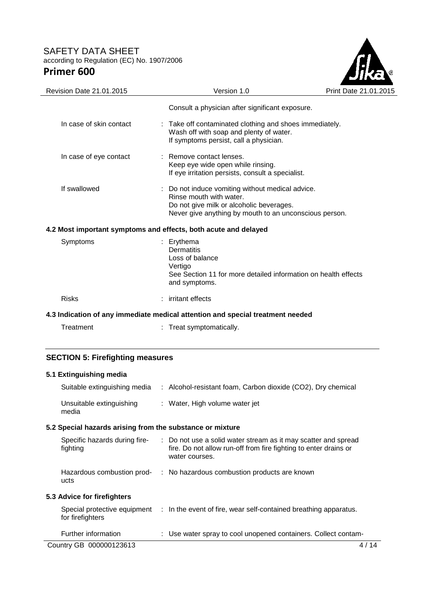

| Revision Date 21.01.2015                                           | Version 1.0                                                                                                                                                                     | Print Date 21.01.2015 |  |  |
|--------------------------------------------------------------------|---------------------------------------------------------------------------------------------------------------------------------------------------------------------------------|-----------------------|--|--|
|                                                                    | Consult a physician after significant exposure.                                                                                                                                 |                       |  |  |
| In case of skin contact                                            | Take off contaminated clothing and shoes immediately.<br>Wash off with soap and plenty of water.<br>If symptoms persist, call a physician.                                      |                       |  |  |
| In case of eye contact                                             | : Remove contact lenses.<br>Keep eye wide open while rinsing.<br>If eye irritation persists, consult a specialist.                                                              |                       |  |  |
| If swallowed                                                       | Do not induce vomiting without medical advice.<br>Rinse mouth with water.<br>Do not give milk or alcoholic beverages.<br>Never give anything by mouth to an unconscious person. |                       |  |  |
|                                                                    | 4.2 Most important symptoms and effects, both acute and delayed                                                                                                                 |                       |  |  |
| Symptoms                                                           | Erythema<br><b>Dermatitis</b><br>Loss of balance<br>Vertigo<br>See Section 11 for more detailed information on health effects<br>and symptoms.                                  |                       |  |  |
| <b>Risks</b>                                                       | irritant effects                                                                                                                                                                |                       |  |  |
|                                                                    | 4.3 Indication of any immediate medical attention and special treatment needed                                                                                                  |                       |  |  |
| Treatment                                                          | : Treat symptomatically.                                                                                                                                                        |                       |  |  |
| <b>SECTION 5: Firefighting measures</b><br>5.1 Extinguishing media |                                                                                                                                                                                 |                       |  |  |

| Suitable extinguishing media                              | : Alcohol-resistant foam, Carbon dioxide (CO2), Dry chemical                                                                                         |        |
|-----------------------------------------------------------|------------------------------------------------------------------------------------------------------------------------------------------------------|--------|
| Unsuitable extinguishing<br>media                         | : Water, High volume water jet                                                                                                                       |        |
| 5.2 Special hazards arising from the substance or mixture |                                                                                                                                                      |        |
| Specific hazards during fire-<br>fighting                 | : Do not use a solid water stream as it may scatter and spread<br>fire. Do not allow run-off from fire fighting to enter drains or<br>water courses. |        |
| Hazardous combustion prod-<br>ucts                        | : No hazardous combustion products are known                                                                                                         |        |
| 5.3 Advice for firefighters                               |                                                                                                                                                      |        |
| Special protective equipment<br>for firefighters          | : In the event of fire, wear self-contained breathing apparatus.                                                                                     |        |
| Further information                                       | : Use water spray to cool unopened containers. Collect contam-                                                                                       |        |
| Country GB 000000123613                                   |                                                                                                                                                      | 4 / 14 |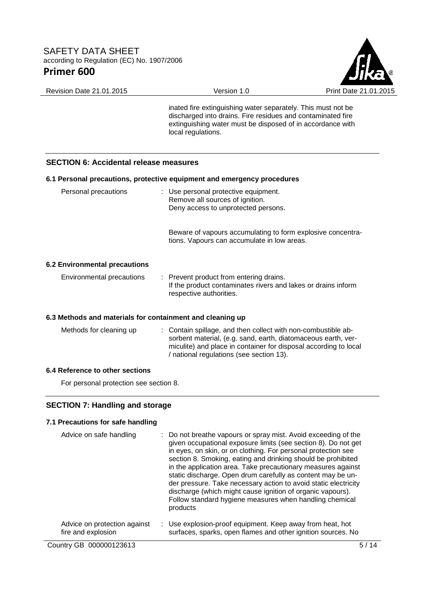

Revision Date 21.01.2015 Version 1.0 Print Date 21.01.2015

inated fire extinguishing water separately. This must not be discharged into drains. Fire residues and contaminated fire extinguishing water must be disposed of in accordance with local regulations.

### **SECTION 6: Accidental release measures**

|                               | 6.1 Personal precautions, protective equipment and emergency procedures                                                             |
|-------------------------------|-------------------------------------------------------------------------------------------------------------------------------------|
| Personal precautions          | : Use personal protective equipment.<br>Remove all sources of ignition.<br>Deny access to unprotected persons.                      |
|                               | Beware of vapours accumulating to form explosive concentra-<br>tions. Vapours can accumulate in low areas.                          |
| 6.2 Environmental precautions |                                                                                                                                     |
| Environmental precautions     | : Prevent product from entering drains.<br>If the product contaminates rivers and lakes or drains inform<br>respective authorities. |

### **6.3 Methods and materials for containment and cleaning up**

| Methods for cleaning up |  | : Contain spillage, and then collect with non-combustible ab-<br>sorbent material, (e.g. sand, earth, diatomaceous earth, ver-<br>miculite) and place in container for disposal according to local<br>/ national regulations (see section 13). |
|-------------------------|--|------------------------------------------------------------------------------------------------------------------------------------------------------------------------------------------------------------------------------------------------|
|-------------------------|--|------------------------------------------------------------------------------------------------------------------------------------------------------------------------------------------------------------------------------------------------|

### **6.4 Reference to other sections**

For personal protection see section 8.

### **SECTION 7: Handling and storage**

### **7.1 Precautions for safe handling**

| Advice on safe handling                            | : Do not breathe vapours or spray mist. Avoid exceeding of the<br>given occupational exposure limits (see section 8). Do not get<br>in eyes, on skin, or on clothing. For personal protection see<br>section 8. Smoking, eating and drinking should be prohibited<br>in the application area. Take precautionary measures against<br>static discharge. Open drum carefully as content may be un-<br>der pressure. Take necessary action to avoid static electricity<br>discharge (which might cause ignition of organic vapours).<br>Follow standard hygiene measures when handling chemical<br>products |
|----------------------------------------------------|----------------------------------------------------------------------------------------------------------------------------------------------------------------------------------------------------------------------------------------------------------------------------------------------------------------------------------------------------------------------------------------------------------------------------------------------------------------------------------------------------------------------------------------------------------------------------------------------------------|
| Advice on protection against<br>fire and explosion | : Use explosion-proof equipment. Keep away from heat, hot<br>surfaces, sparks, open flames and other ignition sources. No                                                                                                                                                                                                                                                                                                                                                                                                                                                                                |

Country GB 000000123613 5/14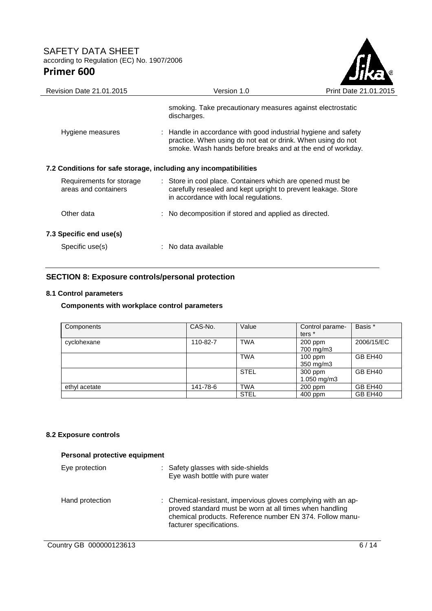

| Revision Date 21.01.2015                                         | Version 1.0                                                                                                                                                                                 | Print Date 21.01.2015 |
|------------------------------------------------------------------|---------------------------------------------------------------------------------------------------------------------------------------------------------------------------------------------|-----------------------|
|                                                                  | smoking. Take precautionary measures against electrostatic<br>discharges.                                                                                                                   |                       |
| Hygiene measures                                                 | : Handle in accordance with good industrial hygiene and safety<br>practice. When using do not eat or drink. When using do not<br>smoke. Wash hands before breaks and at the end of workday. |                       |
| 7.2 Conditions for safe storage, including any incompatibilities |                                                                                                                                                                                             |                       |
| Requirements for storage<br>areas and containers                 | : Store in cool place. Containers which are opened must be<br>carefully resealed and kept upright to prevent leakage. Store<br>in accordance with local regulations.                        |                       |
| Other data                                                       | : No decomposition if stored and applied as directed.                                                                                                                                       |                       |
| 7.3 Specific end use(s)                                          |                                                                                                                                                                                             |                       |
| Specific use(s)                                                  | $:$ No data available                                                                                                                                                                       |                       |
|                                                                  |                                                                                                                                                                                             |                       |

## **SECTION 8: Exposure controls/personal protection**

### **8.1 Control parameters**

## **Components with workplace control parameters**

| Components    | CAS-No.  | Value       | Control parame-<br>ters <sup>*</sup> | Basis *    |
|---------------|----------|-------------|--------------------------------------|------------|
| cyclohexane   | 110-82-7 | <b>TWA</b>  | $200$ ppm<br>700 mg/m3               | 2006/15/EC |
|               |          | <b>TWA</b>  | $100$ ppm<br>350 mg/m3               | GB EH40    |
|               |          | <b>STEL</b> | 300 ppm<br>1.050 mg/m3               | GB EH40    |
| ethyl acetate | 141-78-6 | <b>TWA</b>  | $200$ ppm                            | GB EH40    |
|               |          | <b>STEL</b> | $400$ ppm                            | GB EH40    |

## **8.2 Exposure controls**

| Personal protective equipment |                                                                                                                                                                                                                  |  |  |  |  |
|-------------------------------|------------------------------------------------------------------------------------------------------------------------------------------------------------------------------------------------------------------|--|--|--|--|
| Eye protection                | : Safety glasses with side-shields<br>Eye wash bottle with pure water                                                                                                                                            |  |  |  |  |
| Hand protection               | : Chemical-resistant, impervious gloves complying with an ap-<br>proved standard must be worn at all times when handling<br>chemical products. Reference number EN 374. Follow manu-<br>facturer specifications. |  |  |  |  |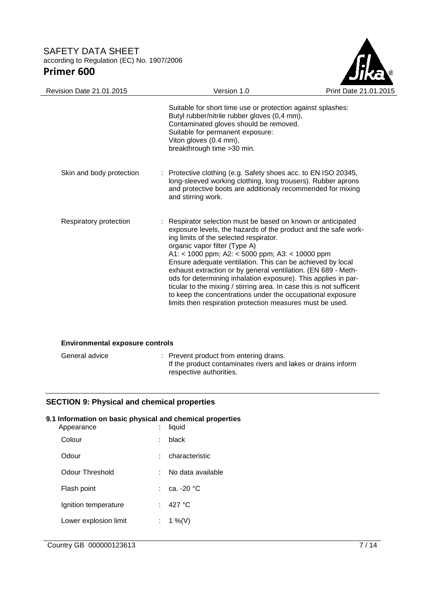

| <b>Revision Date 21.01.2015</b> | Version 1.0                                                                                                                                                                                                                                                                                                                                                                                                                                                                                                                                                                                                                                                      | Print Date 21.0 |
|---------------------------------|------------------------------------------------------------------------------------------------------------------------------------------------------------------------------------------------------------------------------------------------------------------------------------------------------------------------------------------------------------------------------------------------------------------------------------------------------------------------------------------------------------------------------------------------------------------------------------------------------------------------------------------------------------------|-----------------|
|                                 | Suitable for short time use or protection against splashes:<br>Butyl rubber/nitrile rubber gloves (0,4 mm),<br>Contaminated gloves should be removed.<br>Suitable for permanent exposure:<br>Viton gloves (0.4 mm),<br>breakthrough time > 30 min.                                                                                                                                                                                                                                                                                                                                                                                                               |                 |
| Skin and body protection        | : Protective clothing (e.g. Safety shoes acc. to EN ISO 20345,<br>long-sleeved working clothing, long trousers). Rubber aprons<br>and protective boots are additionaly recommended for mixing<br>and stirring work.                                                                                                                                                                                                                                                                                                                                                                                                                                              |                 |
| Respiratory protection          | : Respirator selection must be based on known or anticipated<br>exposure levels, the hazards of the product and the safe work-<br>ing limits of the selected respirator.<br>organic vapor filter (Type A)<br>A1: < 1000 ppm; A2: < 5000 ppm; A3: < 10000 ppm<br>Ensure adequate ventilation. This can be achieved by local<br>exhaust extraction or by general ventilation. (EN 689 - Meth-<br>ods for determining inhalation exposure). This applies in par-<br>ticular to the mixing / stirring area. In case this is not sufficent<br>to keep the concentrations under the occupational exposure<br>limits then respiration protection measures must be used. |                 |

#### **Environmental exposure controls**

| General advice | : Prevent product from entering drains.<br>If the product contaminates rivers and lakes or drains inform<br>respective authorities. |
|----------------|-------------------------------------------------------------------------------------------------------------------------------------|
|                |                                                                                                                                     |

## **SECTION 9: Physical and chemical properties**

## **9.1 Information on basic physical and chemical properties**

| Appearance            |    | liquid            |
|-----------------------|----|-------------------|
| Colour                | t  | black             |
| Odour                 |    | characteristic    |
| Odour Threshold       | ۰. | No data available |
| Flash point           |    | .ca. -20 °C       |
| Ignition temperature  | t. | 427 $\degree$ C   |
| Lower explosion limit |    | : 1 %(V)          |
|                       |    |                   |

Country GB 000000123613 7/14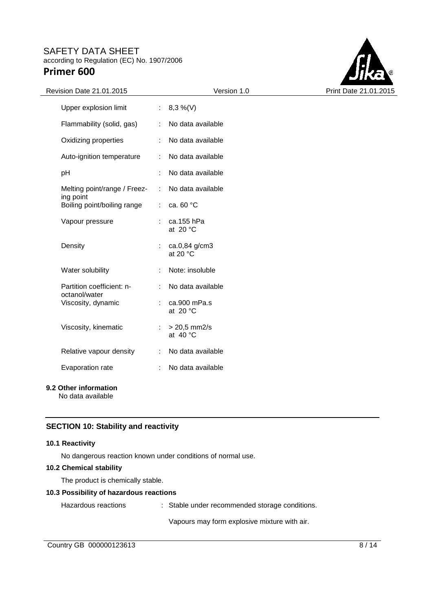

| Revision Date 21.01.2015                   |                       | Version 1.0                         | Print Date 21.01.2015 |
|--------------------------------------------|-----------------------|-------------------------------------|-----------------------|
| Upper explosion limit                      |                       | : $8,3\%$ (V)                       |                       |
| Flammability (solid, gas)                  |                       | No data available                   |                       |
| Oxidizing properties                       |                       | No data available                   |                       |
| Auto-ignition temperature                  |                       | No data available                   |                       |
| pH                                         |                       | No data available                   |                       |
| Melting point/range / Freez-               | $\mathbb{R}^2$        | No data available                   |                       |
| ing point<br>Boiling point/boiling range   | $\mathbb{R}^n$        | ca. 60 °C                           |                       |
| Vapour pressure                            |                       | $:$ ca.155 hPa<br>at $20 °C$        |                       |
| Density                                    |                       | ca.0,84 g/cm3<br>at 20 $\degree$ C  |                       |
| Water solubility                           |                       | Note: insoluble                     |                       |
| Partition coefficient: n-<br>octanol/water | ÷                     | No data available                   |                       |
| Viscosity, dynamic                         |                       | ca.900 mPa.s<br>at $20 °C$          |                       |
| Viscosity, kinematic                       | ÷                     | $> 20,5$ mm2/s<br>at $40^{\circ}$ C |                       |
| Relative vapour density                    | $\mathbb{Z}^{\times}$ | No data available                   |                       |
| Evaporation rate                           | ÷                     | No data available                   |                       |
|                                            |                       |                                     |                       |

### **9.2 Other information**

No data available

### **SECTION 10: Stability and reactivity**

#### **10.1 Reactivity**

No dangerous reaction known under conditions of normal use.

### **10.2 Chemical stability**

The product is chemically stable.

### **10.3 Possibility of hazardous reactions**

Hazardous reactions : Stable under recommended storage conditions.

Vapours may form explosive mixture with air.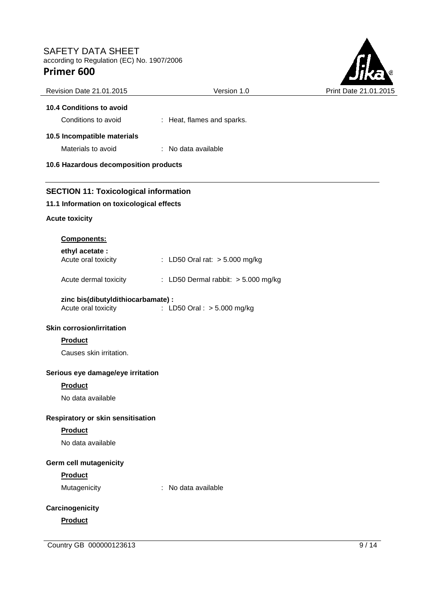

| Revision Date 21.01.2015                                  | Version 1.0                           | Print Date 21.01.20 |
|-----------------------------------------------------------|---------------------------------------|---------------------|
| 10.4 Conditions to avoid                                  |                                       |                     |
| Conditions to avoid                                       | : Heat, flames and sparks.            |                     |
| 10.5 Incompatible materials                               |                                       |                     |
| Materials to avoid                                        | : No data available                   |                     |
| 10.6 Hazardous decomposition products                     |                                       |                     |
| <b>SECTION 11: Toxicological information</b>              |                                       |                     |
| 11.1 Information on toxicological effects                 |                                       |                     |
| <b>Acute toxicity</b>                                     |                                       |                     |
| <b>Components:</b>                                        |                                       |                     |
| ethyl acetate :                                           |                                       |                     |
| Acute oral toxicity                                       | : LD50 Oral rat: > 5.000 mg/kg        |                     |
| Acute dermal toxicity                                     | : LD50 Dermal rabbit: $> 5.000$ mg/kg |                     |
| zinc bis(dibutyIdithiocarbamate) :<br>Acute oral toxicity | : LD50 Oral : > 5.000 mg/kg           |                     |
| <b>Skin corrosion/irritation</b>                          |                                       |                     |
| <b>Product</b>                                            |                                       |                     |
| Causes skin irritation.                                   |                                       |                     |
| Serious eye damage/eye irritation                         |                                       |                     |
| <b>Product</b>                                            |                                       |                     |
| No data available                                         |                                       |                     |
| Respiratory or skin sensitisation                         |                                       |                     |
| Product                                                   |                                       |                     |
| No data available                                         |                                       |                     |
|                                                           |                                       |                     |
| Germ cell mutagenicity<br>Product                         |                                       |                     |
| Mutagenicity                                              | : No data available                   |                     |
|                                                           |                                       |                     |
| Carcinogenicity                                           |                                       |                     |
| Product                                                   |                                       |                     |
|                                                           |                                       |                     |

Country GB 000000123613 9/14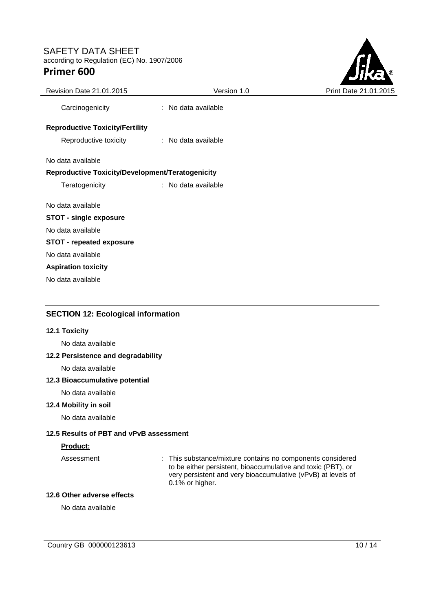

| Revision Date 21.01.2015                         | Version 1.0         | Print Date 21.01.20 |
|--------------------------------------------------|---------------------|---------------------|
| Carcinogenicity                                  | : No data available |                     |
| <b>Reproductive Toxicity/Fertility</b>           |                     |                     |
| Reproductive toxicity                            | : No data available |                     |
| No data available                                |                     |                     |
| Reproductive Toxicity/Development/Teratogenicity |                     |                     |
| Teratogenicity                                   | : No data available |                     |
| No data available                                |                     |                     |
| <b>STOT - single exposure</b>                    |                     |                     |
| No data available                                |                     |                     |
| <b>STOT - repeated exposure</b>                  |                     |                     |
| No data available                                |                     |                     |
| <b>Aspiration toxicity</b>                       |                     |                     |
| No data available                                |                     |                     |
|                                                  |                     |                     |

# **SECTION 12: Ecological information**

### **12.1 Toxicity**

No data available

#### **12.2 Persistence and degradability**

No data available

#### **12.3 Bioaccumulative potential**

No data available

# **12.4 Mobility in soil**

No data available

### **12.5 Results of PBT and vPvB assessment**

#### **Product:**

Assessment : This substance/mixture contains no components considered to be either persistent, bioaccumulative and toxic (PBT), or very persistent and very bioaccumulative (vPvB) at levels of 0.1% or higher.

#### **12.6 Other adverse effects**

No data available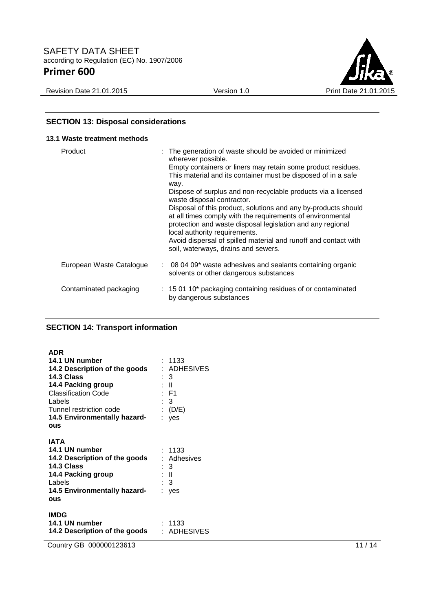

# **SECTION 13: Disposal considerations**

| 13.1 Waste treatment methods |                                                                                                                                                                                                                                                                                                                                                                                                                                                                                                                                                                                                                                                                 |
|------------------------------|-----------------------------------------------------------------------------------------------------------------------------------------------------------------------------------------------------------------------------------------------------------------------------------------------------------------------------------------------------------------------------------------------------------------------------------------------------------------------------------------------------------------------------------------------------------------------------------------------------------------------------------------------------------------|
| Product                      | : The generation of waste should be avoided or minimized<br>wherever possible.<br>Empty containers or liners may retain some product residues.<br>This material and its container must be disposed of in a safe<br>way.<br>Dispose of surplus and non-recyclable products via a licensed<br>waste disposal contractor.<br>Disposal of this product, solutions and any by-products should<br>at all times comply with the requirements of environmental<br>protection and waste disposal legislation and any regional<br>local authority requirements.<br>Avoid dispersal of spilled material and runoff and contact with<br>soil, waterways, drains and sewers. |
| European Waste Catalogue     | $\sim$ 08 04 09* waste adhesives and sealants containing organic<br>solvents or other dangerous substances                                                                                                                                                                                                                                                                                                                                                                                                                                                                                                                                                      |
| Contaminated packaging       | : 15 01 10* packaging containing residues of or contaminated<br>by dangerous substances                                                                                                                                                                                                                                                                                                                                                                                                                                                                                                                                                                         |

# **SECTION 14: Transport information**

| <b>ADR</b><br>14.1 UN number<br>14.2 Description of the goods<br>14.3 Class<br>14.4 Packing group<br><b>Classification Code</b><br>Labels<br>Tunnel restriction code<br>14.5 Environmentally hazard-<br>OUS | : 1133<br>: ADHESIVES<br>: 3<br>: II<br>: F1<br>: 3<br>: $(D/E)$<br>: yes |
|-------------------------------------------------------------------------------------------------------------------------------------------------------------------------------------------------------------|---------------------------------------------------------------------------|
| <b>IATA</b><br>14.1 UN number<br><b>14.2 Description of the goods</b><br>14.3 Class<br>14.4 Packing group<br>Labels<br>14.5 Environmentally hazard-<br>ous                                                  | : 1133<br>: Adhesives<br>: 3<br>: II<br>$\therefore$ 3<br>: yes           |
| <b>IMDG</b><br>14.1 UN number<br>14.2 Description of the goods                                                                                                                                              | : 1133<br>: ADHESIVES                                                     |

Country GB 000000123613 11 / 14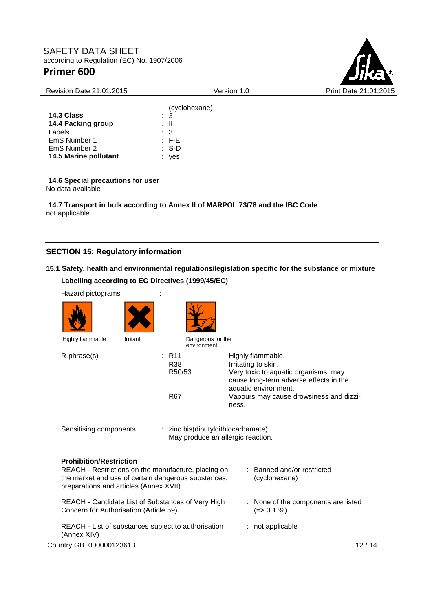

| <b>Revision Date 21.01.2015</b> | Version 1.0      | Print Date 21.01.2015 |
|---------------------------------|------------------|-----------------------|
|                                 | (cyclohexane)    |                       |
| 14.3 Class                      | $\therefore$ 3   |                       |
| 14.4 Packing group              | : II             |                       |
| Labels                          | $\therefore$ 3   |                       |
| EmS Number 1                    | $\therefore$ F-E |                       |
| EmS Number 2                    | $: S-D$          |                       |
| 14.5 Marine pollutant           | : yes            |                       |

**14.6 Special precautions for user** No data available

**14.7 Transport in bulk according to Annex II of MARPOL 73/78 and the IBC Code** not applicable

# **SECTION 15: Regulatory information**

# **15.1 Safety, health and environmental regulations/legislation specific for the substance or mixture Labelling according to EC Directives (1999/45/EC)**

| Hazard pictograms                                                                                                                                                                      |                                             |                                                                                                                                                                                                        |
|----------------------------------------------------------------------------------------------------------------------------------------------------------------------------------------|---------------------------------------------|--------------------------------------------------------------------------------------------------------------------------------------------------------------------------------------------------------|
|                                                                                                                                                                                        |                                             |                                                                                                                                                                                                        |
| Highly flammable<br>Irritant                                                                                                                                                           | Dangerous for the<br>environment            |                                                                                                                                                                                                        |
| R-phrase(s)                                                                                                                                                                            | : R11<br><b>R38</b><br>R50/53<br><b>R67</b> | Highly flammable.<br>Irritating to skin.<br>Very toxic to aquatic organisms, may<br>cause long-term adverse effects in the<br>aquatic environment.<br>Vapours may cause drowsiness and dizzi-<br>ness. |
| Sensitising components                                                                                                                                                                 | : zinc bis(dibutyldithiocarbamate)          | May produce an allergic reaction.                                                                                                                                                                      |
| <b>Prohibition/Restriction</b><br>REACH - Restrictions on the manufacture, placing on<br>the market and use of certain dangerous substances,<br>preparations and articles (Annex XVII) |                                             | : Banned and/or restricted<br>(cyclohexane)                                                                                                                                                            |
| REACH - Candidate List of Substances of Very High<br>Concern for Authorisation (Article 59).                                                                                           |                                             | : None of the components are listed<br>$(=>0.1\%)$ .                                                                                                                                                   |
| REACH - List of substances subject to authorisation<br>(Annex XIV)                                                                                                                     |                                             | : not applicable                                                                                                                                                                                       |
| Country GB 000000123613                                                                                                                                                                |                                             | 12/14                                                                                                                                                                                                  |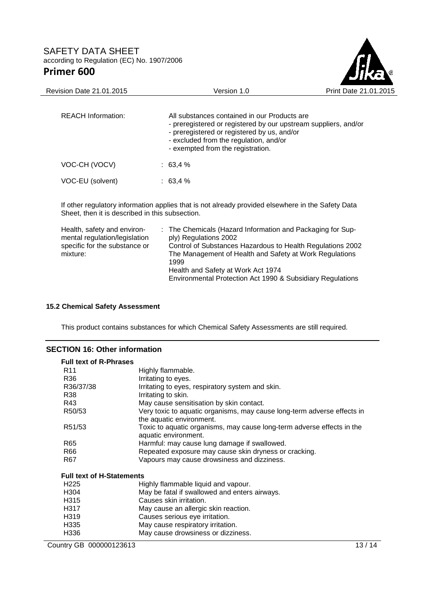

| <b>REACH Information:</b> | All substances contained in our Products are<br>- preregistered or registered by our upstream suppliers, and/or<br>- preregistered or registered by us, and/or<br>- excluded from the regulation, and/or<br>- exempted from the registration. |
|---------------------------|-----------------------------------------------------------------------------------------------------------------------------------------------------------------------------------------------------------------------------------------------|
| VOC-CH (VOCV)             | $: 63.4 \%$                                                                                                                                                                                                                                   |
| VOC-EU (solvent)          | $: 63.4 \%$                                                                                                                                                                                                                                   |

If other regulatory information applies that is not already provided elsewhere in the Safety Data Sheet, then it is described in this subsection.

| Health, safety and environ-   | : The Chemicals (Hazard Information and Packaging for Sup- |
|-------------------------------|------------------------------------------------------------|
| mental regulation/legislation | ply) Regulations 2002                                      |
| specific for the substance or | Control of Substances Hazardous to Health Regulations 2002 |
| mixture:                      | The Management of Health and Safety at Work Regulations    |
|                               | 1999                                                       |
|                               | Health and Safety at Work Act 1974                         |
|                               | Environmental Protection Act 1990 & Subsidiary Regulations |

#### **15.2 Chemical Safety Assessment**

This product contains substances for which Chemical Safety Assessments are still required.

### **SECTION 16: Other information**

| <b>Full text of R-Phrases</b>    |                                                                                                     |  |  |  |  |
|----------------------------------|-----------------------------------------------------------------------------------------------------|--|--|--|--|
| R <sub>11</sub>                  | Highly flammable.                                                                                   |  |  |  |  |
| R36                              | Irritating to eyes.                                                                                 |  |  |  |  |
| R36/37/38                        | Irritating to eyes, respiratory system and skin.                                                    |  |  |  |  |
| R38                              | Irritating to skin.                                                                                 |  |  |  |  |
| R43                              | May cause sensitisation by skin contact.                                                            |  |  |  |  |
| R50/53                           | Very toxic to aquatic organisms, may cause long-term adverse effects in<br>the aquatic environment. |  |  |  |  |
| R51/53                           | Toxic to aquatic organisms, may cause long-term adverse effects in the<br>aquatic environment.      |  |  |  |  |
| R65                              | Harmful: may cause lung damage if swallowed.                                                        |  |  |  |  |
| R66                              | Repeated exposure may cause skin dryness or cracking.                                               |  |  |  |  |
| R67                              | Vapours may cause drowsiness and dizziness.                                                         |  |  |  |  |
| <b>Full text of H-Statements</b> |                                                                                                     |  |  |  |  |
| H <sub>225</sub>                 | Highly flammable liquid and vapour.                                                                 |  |  |  |  |
| H <sub>304</sub>                 | May be fatal if swallowed and enters airways.                                                       |  |  |  |  |
| H315                             | Causes skin irritation.                                                                             |  |  |  |  |
| H317                             | May cause an allergic skin reaction.                                                                |  |  |  |  |
| H319                             | Causes serious eye irritation.                                                                      |  |  |  |  |
| H335                             | May cause respiratory irritation.                                                                   |  |  |  |  |
| H336                             | May cause drowsiness or dizziness.                                                                  |  |  |  |  |

Country GB 000000123613 13/14